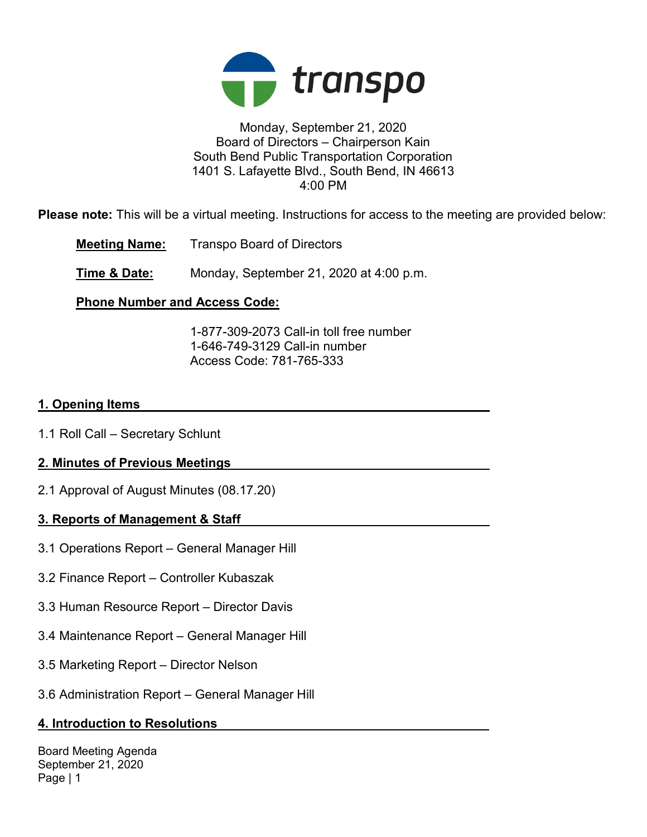

### Monday, September 21, 2020 Board of Directors – Chairperson Kain South Bend Public Transportation Corporation 1401 S. Lafayette Blvd., South Bend, IN 46613 4:00 PM

Please note: This will be a virtual meeting. Instructions for access to the meeting are provided below:

Meeting Name: Transpo Board of Directors

**Time & Date:** Monday, September 21, 2020 at 4:00 p.m.

# Phone Number and Access Code:

 1-877-309-2073 Call-in toll free number 1-646-749-3129 Call-in number Access Code: 781-765-333

## 1. Opening Items

1.1 Roll Call – Secretary Schlunt

# 2. Minutes of Previous Meetings

2.1 Approval of August Minutes (08.17.20)

# 3. Reports of Management & Staff

- 3.1 Operations Report General Manager Hill
- 3.2 Finance Report Controller Kubaszak
- 3.3 Human Resource Report Director Davis
- 3.4 Maintenance Report General Manager Hill
- 3.5 Marketing Report Director Nelson
- 3.6 Administration Report General Manager Hill

### 4. Introduction to Resolutions

Board Meeting Agenda September 21, 2020 Page | 1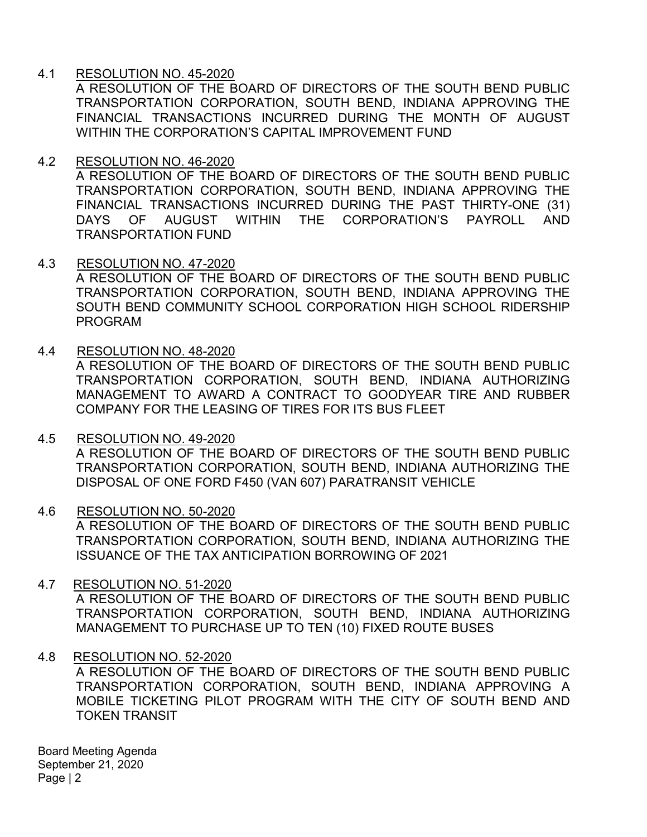## 4.1 RESOLUTION NO. 45-2020

A RESOLUTION OF THE BOARD OF DIRECTORS OF THE SOUTH BEND PUBLIC TRANSPORTATION CORPORATION, SOUTH BEND, INDIANA APPROVING THE FINANCIAL TRANSACTIONS INCURRED DURING THE MONTH OF AUGUST WITHIN THE CORPORATION'S CAPITAL IMPROVEMENT FUND

### 4.2 RESOLUTION NO. 46-2020

A RESOLUTION OF THE BOARD OF DIRECTORS OF THE SOUTH BEND PUBLIC TRANSPORTATION CORPORATION, SOUTH BEND, INDIANA APPROVING THE FINANCIAL TRANSACTIONS INCURRED DURING THE PAST THIRTY-ONE (31) DAYS OF AUGUST WITHIN THE CORPORATION'S PAYROLL AND TRANSPORTATION FUND

### 4.3 RESOLUTION NO. 47-2020

A RESOLUTION OF THE BOARD OF DIRECTORS OF THE SOUTH BEND PUBLIC TRANSPORTATION CORPORATION, SOUTH BEND, INDIANA APPROVING THE SOUTH BEND COMMUNITY SCHOOL CORPORATION HIGH SCHOOL RIDERSHIP PROGRAM

## 4.4 RESOLUTION NO. 48-2020

A RESOLUTION OF THE BOARD OF DIRECTORS OF THE SOUTH BEND PUBLIC TRANSPORTATION CORPORATION, SOUTH BEND, INDIANA AUTHORIZING MANAGEMENT TO AWARD A CONTRACT TO GOODYEAR TIRE AND RUBBER COMPANY FOR THE LEASING OF TIRES FOR ITS BUS FLEET

### 4.5 RESOLUTION NO. 49-2020

A RESOLUTION OF THE BOARD OF DIRECTORS OF THE SOUTH BEND PUBLIC TRANSPORTATION CORPORATION, SOUTH BEND, INDIANA AUTHORIZING THE DISPOSAL OF ONE FORD F450 (VAN 607) PARATRANSIT VEHICLE

### 4.6 RESOLUTION NO. 50-2020

A RESOLUTION OF THE BOARD OF DIRECTORS OF THE SOUTH BEND PUBLIC TRANSPORTATION CORPORATION, SOUTH BEND, INDIANA AUTHORIZING THE ISSUANCE OF THE TAX ANTICIPATION BORROWING OF 2021

### 4.7 RESOLUTION NO. 51-2020

A RESOLUTION OF THE BOARD OF DIRECTORS OF THE SOUTH BEND PUBLIC TRANSPORTATION CORPORATION, SOUTH BEND, INDIANA AUTHORIZING MANAGEMENT TO PURCHASE UP TO TEN (10) FIXED ROUTE BUSES

### 4.8 RESOLUTION NO. 52-2020

A RESOLUTION OF THE BOARD OF DIRECTORS OF THE SOUTH BEND PUBLIC TRANSPORTATION CORPORATION, SOUTH BEND, INDIANA APPROVING A MOBILE TICKETING PILOT PROGRAM WITH THE CITY OF SOUTH BEND AND TOKEN TRANSIT

Board Meeting Agenda September 21, 2020 Page | 2